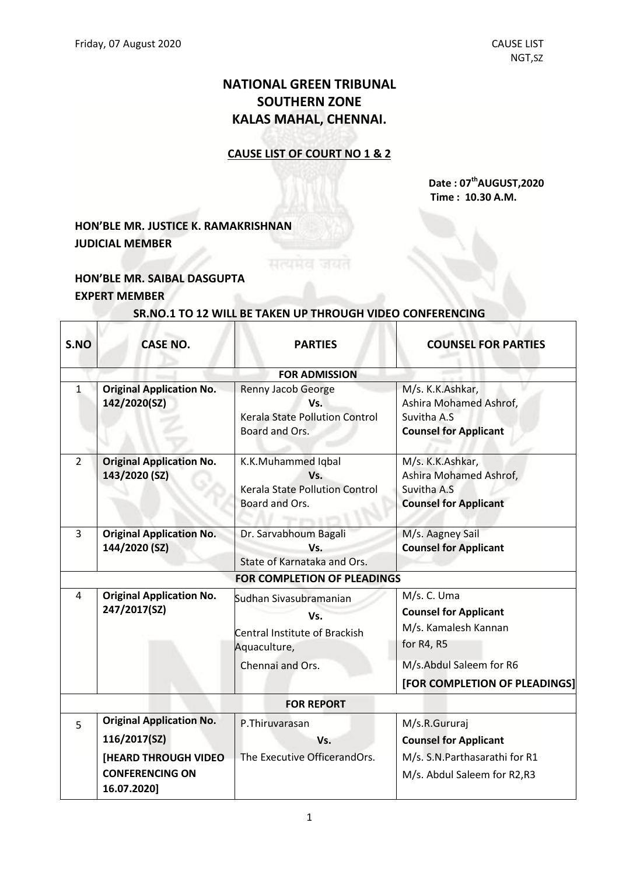# **NATIONAL GREEN TRIBUNAL SOUTHERN ZONE KALAS MAHAL, CHENNAI.**

#### **CAUSE LIST OF COURT NO 1 & 2**

#### **Date : 07 thAUGUST,2020 Time : 10.30 A.M.**

## **HON'BLE MR. JUSTICE K. RAMAKRISHNAN JUDICIAL MEMBER**

### **HON'BLE MR. SAIBAL DASGUPTA EXPERT MEMBER**

 $\Gamma$ 

Т

# **SR.NO.1 TO 12 WILL BE TAKEN UP THROUGH VIDEO CONFERENCING**

सत्यमेव जयत

| S.NO           | <b>CASE NO.</b>                                                      | <b>PARTIES</b>                                                                       | <b>COUNSEL FOR PARTIES</b>                                                                 |
|----------------|----------------------------------------------------------------------|--------------------------------------------------------------------------------------|--------------------------------------------------------------------------------------------|
|                |                                                                      | <b>FOR ADMISSION</b>                                                                 |                                                                                            |
| 1              | <b>Original Application No.</b><br>142/2020(SZ)                      | Renny Jacob George<br>Vs.<br><b>Kerala State Pollution Control</b><br>Board and Ors. | M/s. K.K.Ashkar,<br>Ashira Mohamed Ashrof,<br>Suvitha A.S<br><b>Counsel for Applicant</b>  |
| $\overline{2}$ | <b>Original Application No.</b><br>143/2020 (SZ)                     | K.K.Muhammed Iqbal<br>Vs.<br><b>Kerala State Pollution Control</b><br>Board and Ors. | M/s. K.K.Ashkar,<br>Ashira Mohamed Ashrof,<br>Suvitha A.S.<br><b>Counsel for Applicant</b> |
| 3              | <b>Original Application No.</b><br>144/2020 (SZ)                     | Dr. Sarvabhoum Bagali<br>Vs.<br>State of Karnataka and Ors.                          | M/s. Aagney Sail<br><b>Counsel for Applicant</b>                                           |
|                |                                                                      | FOR COMPLETION OF PLEADINGS                                                          |                                                                                            |
| 4              | <b>Original Application No.</b><br>247/2017(SZ)                      | Sudhan Sivasubramanian<br>Vs.<br>Central Institute of Brackish<br>Aquaculture,       | M/s. C. Uma<br><b>Counsel for Applicant</b><br>M/s. Kamalesh Kannan<br>for R4, R5          |
|                |                                                                      | Chennai and Ors.                                                                     | M/s.Abdul Saleem for R6                                                                    |
|                |                                                                      |                                                                                      | [FOR COMPLETION OF PLEADINGS]                                                              |
|                |                                                                      | <b>FOR REPORT</b>                                                                    |                                                                                            |
| 5              | <b>Original Application No.</b><br>116/2017(SZ)                      | P.Thiruvarasan<br>Vs.                                                                | M/s.R.Gururaj<br><b>Counsel for Applicant</b>                                              |
|                | <b>[HEARD THROUGH VIDEO</b><br><b>CONFERENCING ON</b><br>16.07.2020] | The Executive OfficerandOrs.                                                         | M/s. S.N.Parthasarathi for R1<br>M/s. Abdul Saleem for R2,R3                               |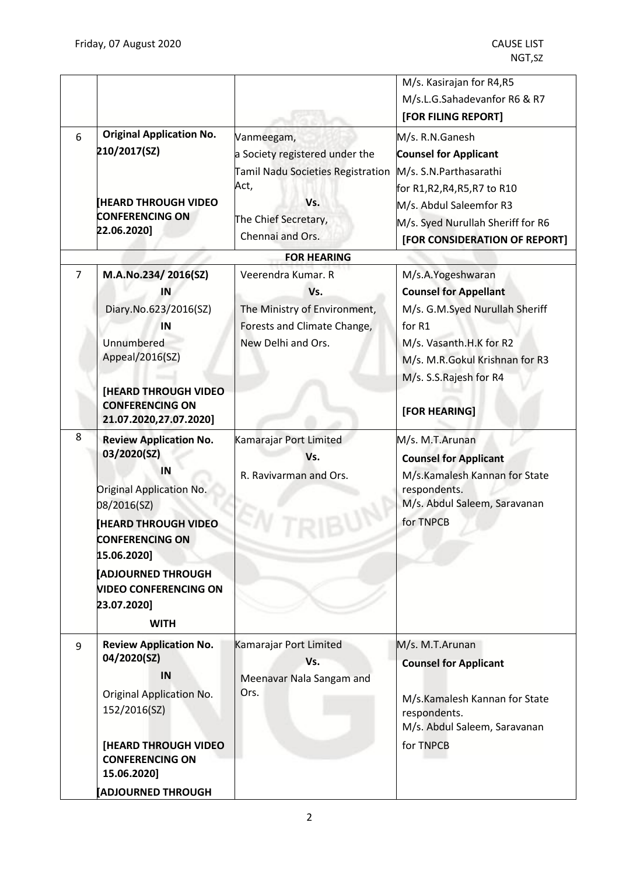| 6              | <b>Original Application No.</b><br>210/2017(SZ)                                                                                                                                                                                                                | Vanmeegam,<br>a Society registered under the                                                                       | M/s. Kasirajan for R4,R5<br>M/s.L.G.Sahadevanfor R6 & R7<br>[FOR FILING REPORT]<br>M/s. R.N.Ganesh<br><b>Counsel for Applicant</b>                              |
|----------------|----------------------------------------------------------------------------------------------------------------------------------------------------------------------------------------------------------------------------------------------------------------|--------------------------------------------------------------------------------------------------------------------|-----------------------------------------------------------------------------------------------------------------------------------------------------------------|
|                | <b>HEARD THROUGH VIDEO</b><br><b>CONFERENCING ON</b><br>22.06.2020]                                                                                                                                                                                            | Tamil Nadu Societies Registration<br>Act,<br>Vs.<br>The Chief Secretary,<br>Chennai and Ors.<br><b>FOR HEARING</b> | M/s. S.N. Parthasarathi<br>for R1,R2,R4,R5,R7 to R10<br>M/s. Abdul Saleemfor R3<br>M/s. Syed Nurullah Sheriff for R6<br>[FOR CONSIDERATION OF REPORT]           |
| $\overline{7}$ | M.A.No.234/2016(SZ)                                                                                                                                                                                                                                            | Veerendra Kumar. R                                                                                                 | M/s.A.Yogeshwaran                                                                                                                                               |
|                | IN<br>Diary.No.623/2016(SZ)<br>IN<br>Unnumbered<br>Appeal/2016(SZ)<br><b>[HEARD THROUGH VIDEO</b>                                                                                                                                                              | Vs.<br>The Ministry of Environment,<br>Forests and Climate Change,<br>New Delhi and Ors.                           | <b>Counsel for Appellant</b><br>M/s. G.M.Syed Nurullah Sheriff<br>for R1<br>M/s. Vasanth.H.K for R2<br>M/s. M.R.Gokul Krishnan for R3<br>M/s. S.S.Rajesh for R4 |
|                | <b>CONFERENCING ON</b><br>21.07.2020,27.07.2020]                                                                                                                                                                                                               |                                                                                                                    | [FOR HEARING]                                                                                                                                                   |
| 8              | <b>Review Application No.</b><br>03/2020(SZ)<br>IN<br>Original Application No.<br>08/2016(SZ)<br><b>HEARD THROUGH VIDEO</b><br><b>CONFERENCING ON</b><br>15.06.2020]<br><b>ADJOURNED THROUGH</b><br><b>VIDEO CONFERENCING ON</b><br>23.07.2020]<br><b>WITH</b> | Kamarajar Port Limited<br>Vs.<br>R. Ravivarman and Ors.                                                            | M/s. M.T.Arunan<br><b>Counsel for Applicant</b><br>M/s.Kamalesh Kannan for State<br>respondents.<br>M/s. Abdul Saleem, Saravanan<br>for TNPCB                   |
| 9              | <b>Review Application No.</b><br>04/2020(SZ)<br>IN<br><b>Original Application No.</b><br>152/2016(SZ)<br><b>[HEARD THROUGH VIDEO</b><br><b>CONFERENCING ON</b><br>15.06.2020]<br><b>ADJOURNED THROUGH</b>                                                      | Kamarajar Port Limited<br>Vs.<br>Meenavar Nala Sangam and<br>Ors.                                                  | M/s. M.T.Arunan<br><b>Counsel for Applicant</b><br>M/s.Kamalesh Kannan for State<br>respondents.<br>M/s. Abdul Saleem, Saravanan<br>for TNPCB                   |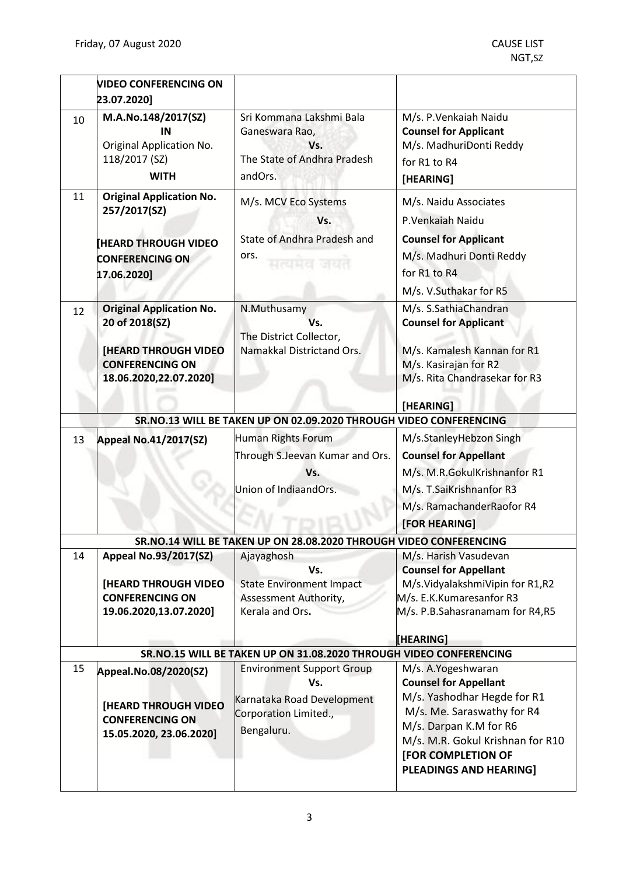|          | <b>VIDEO CONFERENCING ON</b>                                                                                                        |                                                                                                              |                                                                                                                                                                                                                                             |
|----------|-------------------------------------------------------------------------------------------------------------------------------------|--------------------------------------------------------------------------------------------------------------|---------------------------------------------------------------------------------------------------------------------------------------------------------------------------------------------------------------------------------------------|
|          | 23.07.2020]                                                                                                                         |                                                                                                              |                                                                                                                                                                                                                                             |
| 10<br>11 | M.A.No.148/2017(SZ)<br>IN<br>Original Application No.<br>118/2017 (SZ)<br><b>WITH</b><br><b>Original Application No.</b>            | Sri Kommana Lakshmi Bala<br>Ganeswara Rao,<br>Vs.<br>The State of Andhra Pradesh<br>andOrs.                  | M/s. P. Venkaiah Naidu<br><b>Counsel for Applicant</b><br>M/s. MadhuriDonti Reddy<br>for R1 to R4<br>[HEARING]                                                                                                                              |
|          | 257/2017(SZ)<br><b>HEARD THROUGH VIDEO</b><br><b>CONFERENCING ON</b><br>17.06.2020]                                                 | M/s. MCV Eco Systems<br>Vs.<br>State of Andhra Pradesh and<br>ors.<br>मत्यमय जयत                             | M/s. Naidu Associates<br>P.Venkaiah Naidu<br><b>Counsel for Applicant</b><br>M/s. Madhuri Donti Reddy<br>for R1 to R4<br>M/s. V.Suthakar for R5                                                                                             |
| 12       | <b>Original Application No.</b><br>20 of 2018(SZ)<br><b>HEARD THROUGH VIDEO</b><br><b>CONFERENCING ON</b><br>18.06.2020,22.07.2020] | N.Muthusamy<br>Vs.<br>The District Collector,<br>Namakkal Districtand Ors.                                   | M/s. S.SathiaChandran<br><b>Counsel for Applicant</b><br>M/s. Kamalesh Kannan for R1<br>M/s. Kasirajan for R2<br>M/s. Rita Chandrasekar for R3<br>[HEARING]                                                                                 |
|          |                                                                                                                                     | SR.NO.13 WILL BE TAKEN UP ON 02.09.2020 THROUGH VIDEO CONFERENCING                                           |                                                                                                                                                                                                                                             |
| 13       | <b>Appeal No.41/2017(SZ)</b>                                                                                                        | Human Rights Forum<br>Through S.Jeevan Kumar and Ors.<br>Vs.<br>Union of IndiaandOrs.                        | M/s.StanleyHebzon Singh<br><b>Counsel for Appellant</b><br>M/s. M.R.GokulKrishnanfor R1<br>M/s. T.SaiKrishnanfor R3<br>M/s. RamachanderRaofor R4<br>[FOR HEARING]                                                                           |
|          |                                                                                                                                     | SR.NO.14 WILL BE TAKEN UP ON 28.08.2020 THROUGH VIDEO CONFERENCING                                           |                                                                                                                                                                                                                                             |
| 14       | Appeal No.93/2017(SZ)<br><b>[HEARD THROUGH VIDEO</b><br><b>CONFERENCING ON</b><br>19.06.2020,13.07.2020]                            | Ajayaghosh<br>Vs.<br><b>State Environment Impact</b><br>Assessment Authority,<br>Kerala and Ors.             | M/s. Harish Vasudevan<br><b>Counsel for Appellant</b><br>M/s.VidyalakshmiVipin for R1,R2<br>M/s. E.K.Kumaresanfor R3<br>M/s. P.B.Sahasranamam for R4,R5<br>[HEARING]                                                                        |
|          |                                                                                                                                     | SR.NO.15 WILL BE TAKEN UP ON 31.08.2020 THROUGH VIDEO CONFERENCING                                           |                                                                                                                                                                                                                                             |
| 15       | Appeal.No.08/2020(SZ)<br><b>[HEARD THROUGH VIDEO</b><br><b>CONFERENCING ON</b><br>15.05.2020, 23.06.2020]                           | <b>Environment Support Group</b><br>Vs.<br>Karnataka Road Development<br>Corporation Limited.,<br>Bengaluru. | M/s. A.Yogeshwaran<br><b>Counsel for Appellant</b><br>M/s. Yashodhar Hegde for R1<br>M/s. Me. Saraswathy for R4<br>M/s. Darpan K.M for R6<br>M/s. M.R. Gokul Krishnan for R10<br><b>[FOR COMPLETION OF</b><br><b>PLEADINGS AND HEARING]</b> |